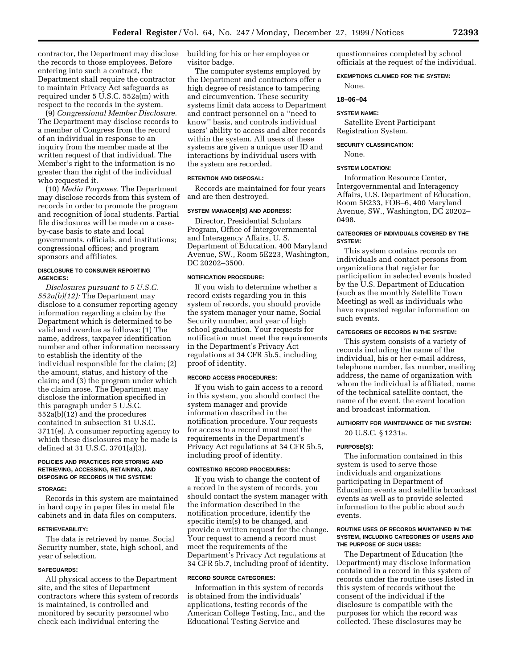contractor, the Department may disclose the records to those employees. Before entering into such a contract, the Department shall require the contractor to maintain Privacy Act safeguards as required under 5 U.S.C. 552a(m) with respect to the records in the system.

(9) *Congressional Member Disclosure.*  The Department may disclose records to a member of Congress from the record of an individual in response to an inquiry from the member made at the written request of that individual. The Member's right to the information is no greater than the right of the individual who requested it.

(10) *Media Purposes.* The Department may disclose records from this system of records in order to promote the program and recognition of local students. Partial file disclosures will be made on a caseby-case basis to state and local governments, officials, and institutions; congressional offices; and program sponsors and affiliates.

## **DISCLOSURE TO CONSUMER REPORTING AGENCIES:**

*Disclosures pursuant to 5 U.S.C. 552a(b)(12):* The Department may disclose to a consumer reporting agency information regarding a claim by the Department which is determined to be valid and overdue as follows: (1) The name, address, taxpayer identification number and other information necessary to establish the identity of the individual responsible for the claim; (2) the amount, status, and history of the claim; and (3) the program under which the claim arose. The Department may disclose the information specified in this paragraph under 5 U.S.C. 552a(b)(12) and the procedures contained in subsection 31 U.S.C. 3711(e). A consumer reporting agency to which these disclosures may be made is defined at 31 U.S.C. 3701(a)(3).

## **POLICIES AND PRACTICES FOR STORING AND RETRIEVING, ACCESSING, RETAINING, AND DISPOSING OF RECORDS IN THE SYSTEM:**

#### **STORAGE:**

Records in this system are maintained in hard copy in paper files in metal file cabinets and in data files on computers.

#### **RETRIEVEABILITY:**

The data is retrieved by name, Social Security number, state, high school, and year of selection.

## **SAFEGUARDS:**

All physical access to the Department site, and the sites of Department contractors where this system of records is maintained, is controlled and monitored by security personnel who check each individual entering the

building for his or her employee or visitor badge.

The computer systems employed by the Department and contractors offer a high degree of resistance to tampering and circumvention. These security systems limit data access to Department and contract personnel on a ''need to know'' basis, and controls individual users' ability to access and alter records within the system. All users of these systems are given a unique user ID and interactions by individual users with the system are recorded.

## **RETENTION AND DISPOSAL:**

Records are maintained for four years and are then destroyed.

#### **SYSTEM MANAGER(S) AND ADDRESS:**

Director, Presidential Scholars Program, Office of Intergovernmental and Interagency Affairs, U. S. Department of Education, 400 Maryland Avenue, SW., Room 5E223, Washington, DC 20202–3500.

## **NOTIFICATION PROCEDURE:**

If you wish to determine whether a record exists regarding you in this system of records, you should provide the system manager your name, Social Security number, and year of high school graduation. Your requests for notification must meet the requirements in the Department's Privacy Act regulations at 34 CFR 5b.5, including proof of identity.

#### **RECORD ACCESS PROCEDURES:**

If you wish to gain access to a record in this system, you should contact the system manager and provide information described in the notification procedure. Your requests for access to a record must meet the requirements in the Department's Privacy Act regulations at 34 CFR 5b.5, including proof of identity.

## **CONTESTING RECORD PROCEDURES:**

If you wish to change the content of a record in the system of records, you should contact the system manager with the information described in the notification procedure, identify the specific item(s) to be changed, and provide a written request for the change. Your request to amend a record must meet the requirements of the Department's Privacy Act regulations at 34 CFR 5b.7, including proof of identity.

## **RECORD SOURCE CATEGORIES:**

Information in this system of records is obtained from the individuals' applications, testing records of the American College Testing, Inc., and the Educational Testing Service and

questionnaires completed by school officials at the request of the individual.

### **EXEMPTIONS CLAIMED FOR THE SYSTEM:**

None.

#### **18–06–04**

#### **SYSTEM NAME:**

Satellite Event Participant Registration System.

## **SECURITY CLASSIFICATION:**

None.

## **SYSTEM LOCATION:**

Information Resource Center, Intergovernmental and Interagency Affairs, U.S. Department of Education, Room 5E233, FOB–6, 400 Maryland Avenue, SW., Washington, DC 20202– 0498.

## **CATEGORIES OF INDIVIDUALS COVERED BY THE SYSTEM:**

This system contains records on individuals and contact persons from organizations that register for participation in selected events hosted by the U.S. Department of Education (such as the monthly Satellite Town Meeting) as well as individuals who have requested regular information on such events.

## **CATEGORIES OF RECORDS IN THE SYSTEM:**

This system consists of a variety of records including the name of the individual, his or her e-mail address, telephone number, fax number, mailing address, the name of organization with whom the individual is affiliated, name of the technical satellite contact, the name of the event, the event location and broadcast information.

#### **AUTHORITY FOR MAINTENANCE OF THE SYSTEM:**

20 U.S.C. § 1231a.

## **PURPOSE(S):**

The information contained in this system is used to serve those individuals and organizations participating in Department of Education events and satellite broadcast events as well as to provide selected information to the public about such events.

## **ROUTINE USES OF RECORDS MAINTAINED IN THE SYSTEM, INCLUDING CATEGORIES OF USERS AND THE PURPOSE OF SUCH USES:**

The Department of Education (the Department) may disclose information contained in a record in this system of records under the routine uses listed in this system of records without the consent of the individual if the disclosure is compatible with the purposes for which the record was collected. These disclosures may be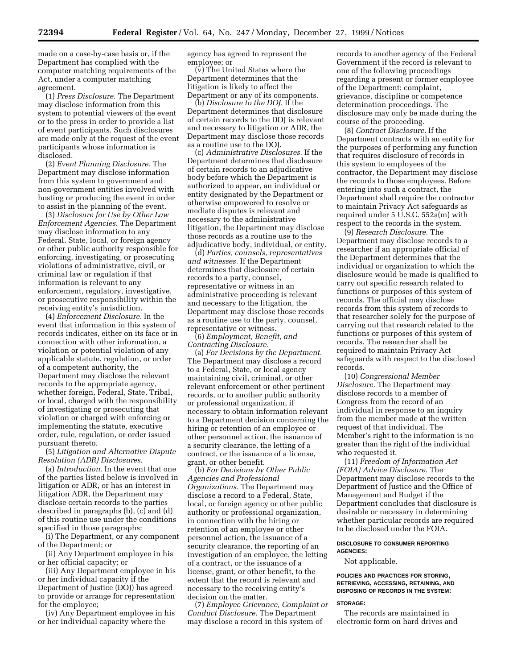made on a case-by-case basis or, if the Department has complied with the computer matching requirements of the Act, under a computer matching agreement.

(1) *Press Disclosure.* The Department may disclose information from this system to potential viewers of the event or to the press in order to provide a list of event participants. Such disclosures are made only at the request of the event participants whose information is disclosed.

(2) *Event Planning Disclosure.* The Department may disclose information from this system to government and non-government entities involved with hosting or producing the event in order to assist in the planning of the event.

(3) *Disclosure for Use by Other Law Enforcement Agencies.* The Department may disclose information to any Federal, State, local, or foreign agency or other public authority responsible for enforcing, investigating, or prosecuting violations of administrative, civil, or criminal law or regulation if that information is relevant to any enforcement, regulatory, investigative, or prosecutive responsibility within the receiving entity's jurisdiction.

(4) *Enforcement Disclosure.* In the event that information in this system of records indicates, either on its face or in connection with other information, a violation or potential violation of any applicable statute, regulation, or order of a competent authority, the Department may disclose the relevant records to the appropriate agency, whether foreign, Federal, State, Tribal, or local, charged with the responsibility of investigating or prosecuting that violation or charged with enforcing or implementing the statute, executive order, rule, regulation, or order issued pursuant thereto.

(5) *Litigation and Alternative Dispute Resolution (ADR) Disclosures.* 

(a) *Introduction.* In the event that one of the parties listed below is involved in litigation or ADR, or has an interest in litigation ADR, the Department may disclose certain records to the parties described in paragraphs (b), (c) and (d) of this routine use under the conditions specified in those paragraphs:

(i) The Department, or any component of the Department; or

(ii) Any Department employee in his or her official capacity; or

(iii) Any Department employee in his or her individual capacity if the Department of Justice (DOJ) has agreed to provide or arrange for representation for the employee;

(iv) Any Department employee in his or her individual capacity where the

agency has agreed to represent the employee; or

(v) The United States where the Department determines that the litigation is likely to affect the Department or any of its components.

(b) *Disclosure to the DOJ.* If the Department determines that disclosure of certain records to the DOJ is relevant and necessary to litigation or ADR, the Department may disclose those records as a routine use to the DOJ.

(c) *Administrative Disclosures.* If the Department determines that disclosure of certain records to an adjudicative body before which the Department is authorized to appear, an individual or entity designated by the Department or otherwise empowered to resolve or mediate disputes is relevant and necessary to the administrative litigation, the Department may disclose those records as a routine use to the adjudicative body, individual, or entity.

(d) *Parties, counsels, representatives and witnesses.* If the Department determines that disclosure of certain records to a party, counsel, representative or witness in an administrative proceeding is relevant and necessary to the litigation, the Department may disclose those records as a routine use to the party, counsel, representative or witness.

(6) *Employment, Benefit, and Contracting Disclosure.* 

(a) *For Decisions by the Department.*  The Department may disclose a record to a Federal, State, or local agency maintaining civil, criminal, or other relevant enforcement or other pertinent records, or to another public authority or professional organization, if necessary to obtain information relevant to a Department decision concerning the hiring or retention of an employee or other personnel action, the issuance of a security clearance, the letting of a contract, or the issuance of a license, grant, or other benefit.

(b) *For Decisions by Other Public Agencies and Professional Organizations.* The Department may disclose a record to a Federal, State, local, or foreign agency or other public authority or professional organization, in connection with the hiring or retention of an employee or other personnel action, the issuance of a security clearance, the reporting of an investigation of an employee, the letting of a contract, or the issuance of a license, grant, or other benefit, to the extent that the record is relevant and necessary to the receiving entity's decision on the matter.

(7) *Employee Grievance, Complaint or Conduct Disclosure.* The Department may disclose a record in this system of

records to another agency of the Federal Government if the record is relevant to one of the following proceedings regarding a present or former employee of the Department: complaint, grievance, discipline or competence determination proceedings. The disclosure may only be made during the course of the proceeding.

(8) *Contract Disclosure.* If the Department contracts with an entity for the purposes of performing any function that requires disclosure of records in this system to employees of the contractor, the Department may disclose the records to those employees. Before entering into such a contract, the Department shall require the contractor to maintain Privacy Act safeguards as required under 5 U.S.C. 552a(m) with respect to the records in the system.

(9) *Research Disclosure.* The Department may disclose records to a researcher if an appropriate official of the Department determines that the individual or organization to which the disclosure would be made is qualified to carry out specific research related to functions or purposes of this system of records. The official may disclose records from this system of records to that researcher solely for the purpose of carrying out that research related to the functions or purposes of this system of records. The researcher shall be required to maintain Privacy Act safeguards with respect to the disclosed records.

(10) *Congressional Member Disclosure.* The Department may disclose records to a member of Congress from the record of an individual in response to an inquiry from the member made at the written request of that individual. The Member's right to the information is no greater than the right of the individual who requested it.

(11) *Freedom of Information Act (FOIA) Advice Disclosure.* The Department may disclose records to the Department of Justice and the Office of Management and Budget if the Department concludes that disclosure is desirable or necessary in determining whether particular records are required to be disclosed under the FOIA.

## **DISCLOSURE TO CONSUMER REPORTING AGENCIES:**

Not applicable.

## **POLICIES AND PRACTICES FOR STORING, RETRIEVING, ACCESSING, RETAINING, AND DISPOSING OF RECORDS IN THE SYSTEM:**

#### **STORAGE:**

The records are maintained in electronic form on hard drives and